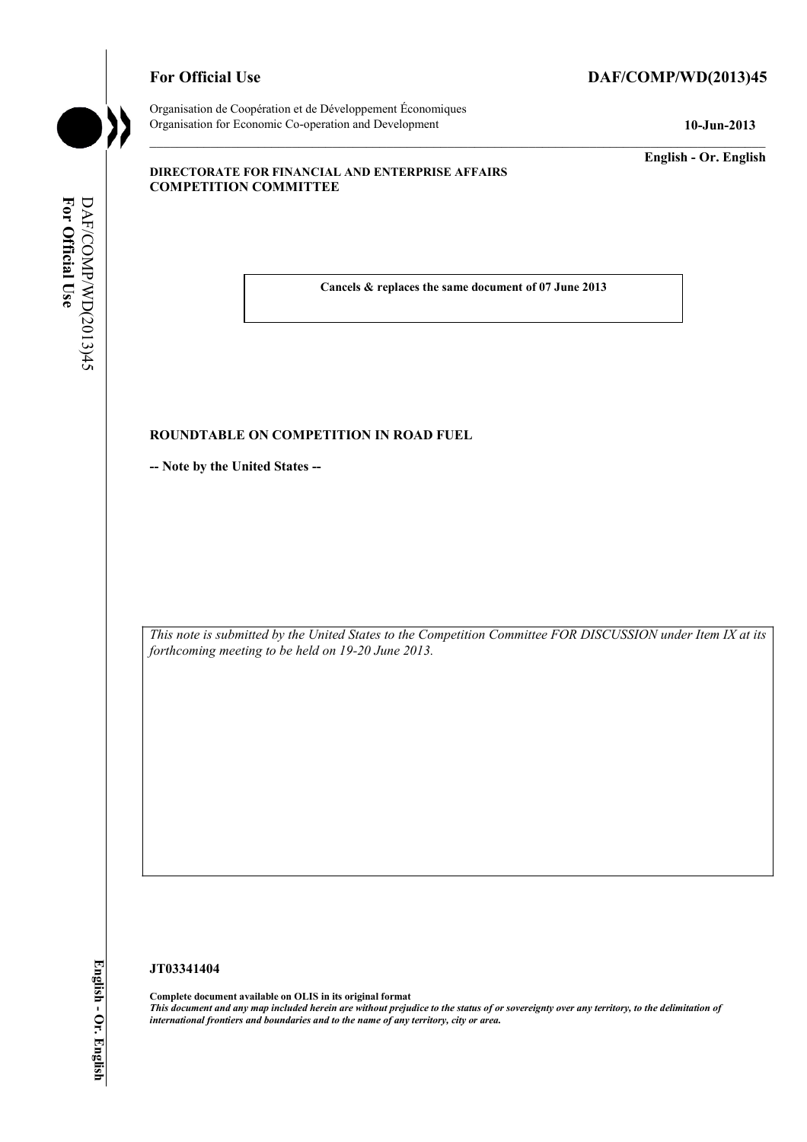## For Official Use DAF/COMP/WD(2013)45

Organisation de Coopération et de Développement Économiques Organisation for Economic Co-operation and Development **10-Jun-2013** 

**English - Or. English** 

#### **DIRECTORATE FOR FINANCIAL AND ENTERPRISE AFFAIRS COMPETITION COMMITTEE**

For Official Use DAF/COMP/WD(2013)45 **For Official Use**  DAF/COMP/WD(2013)45

 **Cancels & replaces the same document of 07 June 2013** 

#### **ROUNDTABLE ON COMPETITION IN ROAD FUEL**

**-- Note by the United States --** 

 *This note is submitted by the United States to the Competition Committee FOR DISCUSSION under Item IX at its forthcoming meeting to be held on 19-20 June 2013.* 

## **JT03341404**

 **Complete document available on OLIS in its original format**   *This document and any map included herein are without prejudice to the status of or sovereignty over any territory, to the delimitation of international frontiers and boundaries and to the name of any territory, city or area.*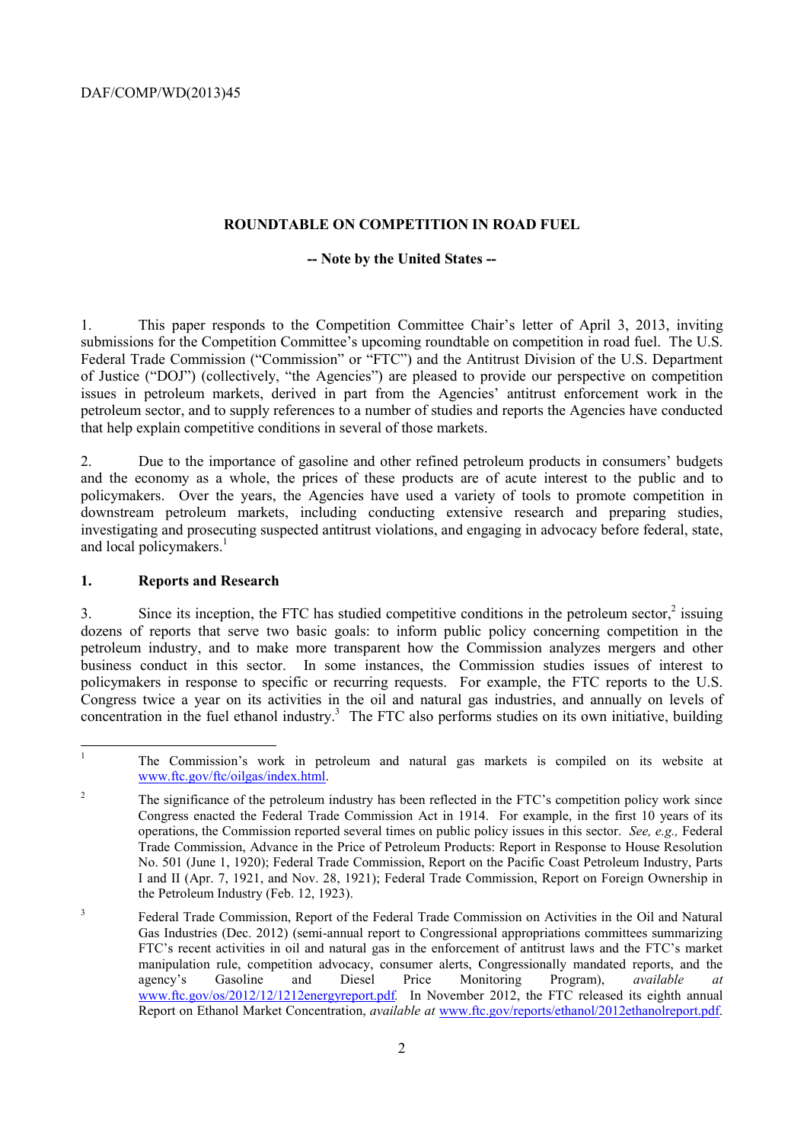#### **ROUNDTABLE ON COMPETITION IN ROAD FUEL**

#### **-- Note by the United States --**

1. This paper responds to the Competition Committee Chair's letter of April 3, 2013, inviting submissions for the Competition Committee's upcoming roundtable on competition in road fuel. The U.S. Federal Trade Commission ("Commission" or "FTC") and the Antitrust Division of the U.S. Department of Justice ("DOJ") (collectively, "the Agencies") are pleased to provide our perspective on competition issues in petroleum markets, derived in part from the Agencies' antitrust enforcement work in the petroleum sector, and to supply references to a number of studies and reports the Agencies have conducted that help explain competitive conditions in several of those markets.

2. Due to the importance of gasoline and other refined petroleum products in consumers' budgets and the economy as a whole, the prices of these products are of acute interest to the public and to policymakers. Over the years, the Agencies have used a variety of tools to promote competition in downstream petroleum markets, including conducting extensive research and preparing studies, investigating and prosecuting suspected antitrust violations, and engaging in advocacy before federal, state, and local policymakers.<sup>1</sup>

#### **1. Reports and Research**

 business conduct in this sector. In some instances, the Commission studies issues of interest to 3. Since its inception, the FTC has studied competitive conditions in the petroleum sector, $\frac{2}{3}$  issuing dozens of reports that serve two basic goals: to inform public policy concerning competition in the petroleum industry, and to make more transparent how the Commission analyzes mergers and other policymakers in response to specific or recurring requests. For example, the FTC reports to the U.S. Congress twice a year on its activities in the oil and natural gas industries, and annually on levels of concentration in the fuel ethanol industry.<sup>3</sup> The FTC also performs studies on its own initiative, building

 $\mathbf{1}$ 1 The Commission's work in petroleum and natural gas markets is compiled on its website at www.ftc.gov/ftc/oilgas/index.html.

 $\overline{c}$  Congress enacted the Federal Trade Commission Act in 1914. For example, in the first 10 years of its 2 The significance of the petroleum industry has been reflected in the FTC's competition policy work since operations, the Commission reported several times on public policy issues in this sector. *See, e.g.,* Federal Trade Commission, Advance in the Price of Petroleum Products: Report in Response to House Resolution No. 501 (June 1, 1920); Federal Trade Commission, Report on the Pacific Coast Petroleum Industry, Parts I and II (Apr. 7, 1921, and Nov. 28, 1921); Federal Trade Commission, Report on Foreign Ownership in the Petroleum Industry (Feb. 12, 1923).

<sup>&</sup>lt;sup>3</sup> Federal Trade Commission, Report of the Federal Trade Commission on Activities in the Oil and Natural Gas Industries (Dec. 2012) (semi-annual report to Congressional appropriations committees summarizing FTC's recent activities in oil and natural gas in the enforcement of antitrust laws and the FTC's market manipulation rule, competition advocacy, consumer alerts, Congressionally mandated reports, and the agency's Gasoline and Diesel Price Monitoring Program) *available at* agency's Gasoline and Diesel Price Monitoring Program), *available at*  www.ftc.gov/os/2012/12/1212energyreport.pdf*.* In November 2012, the FTC released its eighth annual Report on Ethanol Market Concentration, *available at* www.ftc.gov/reports/ethanol/2012ethanolreport.pdf.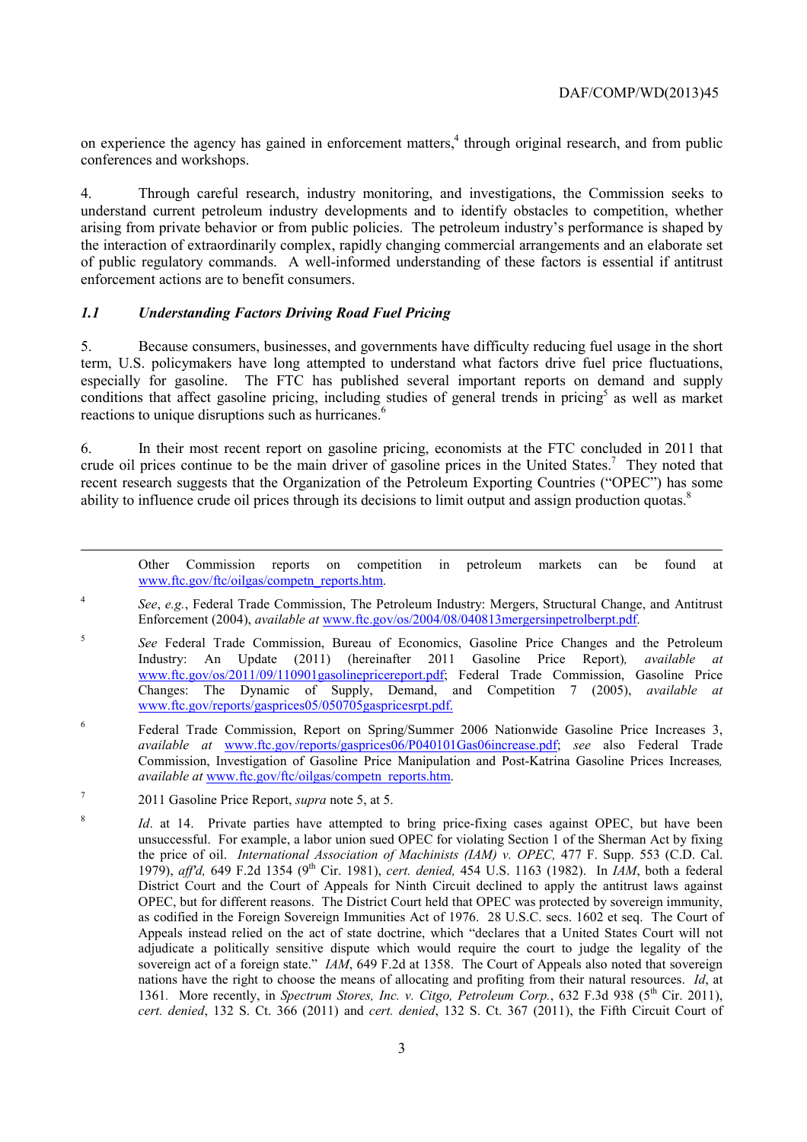on experience the agency has gained in enforcement matters,<sup>4</sup> through original research, and from public conferences and workshops.

4. Through careful research, industry monitoring, and investigations, the Commission seeks to understand current petroleum industry developments and to identify obstacles to competition, whether arising from private behavior or from public policies. The petroleum industry's performance is shaped by the interaction of extraordinarily complex, rapidly changing commercial arrangements and an elaborate set of public regulatory commands. A well-informed understanding of these factors is essential if antitrust enforcement actions are to benefit consumers.

#### *1.1 Understanding Factors Driving Road Fuel Pricing*

conditions that affect gasoline pricing, including studies of general trends in pricing<sup>5</sup> as well as market 5. Because consumers, businesses, and governments have difficulty reducing fuel usage in the short term, U.S. policymakers have long attempted to understand what factors drive fuel price fluctuations, especially for gasoline. The FTC has published several important reports on demand and supply reactions to unique disruptions such as hurricanes.<sup>6</sup>

crude oil prices continue to be the main driver of gasoline prices in the United States.<sup>7</sup> They noted that recent research suggests that the Organization of the Petroleum Exporting Countries ("OPEC") has some ability to influence crude oil prices through its decisions to limit output and assign production quotas.<sup>8</sup> 6. In their most recent report on gasoline pricing, economists at the FTC concluded in 2011 that

Other Commission reports on competition in petroleum markets can be found at www.ftc.gov/ftc/oilgas/competn\_reports.htm.

<sup>4</sup>*See*, *e.g.*, Federal Trade Commission, The Petroleum Industry: Mergers, Structural Change, and Antitrust Enforcement (2004), *available at* www.ftc.gov/os/2004/08/040813mergersinpetrolberpt.pdf.

- <sup>5</sup>*See* Federal Trade Commission, Bureau of Economics, Gasoline Price Changes and the Petroleum Industry: An Update (2011) (hereinafter 2011 Gasoline Price Report)*, available at*  www.ftc.gov/os/2011/09/110901gasolinepricereport.pdf; Federal Trade Commission, Gasoline Price Changes: The Dynamic of Supply, Demand, and Competition 7 (2005), *available at*  www.ftc.gov/reports/gasprices05/050705gaspricesrpt.pdf.
- <sup>6</sup> Federal Trade Commission, Report on Spring/Summer 2006 Nationwide Gasoline Price Increases 3, *available at* www.ftc.gov/reports/gasprices06/P040101Gas06increase.pdf; *see* also Federal Trade Commission, Investigation of Gasoline Price Manipulation and Post-Katrina Gasoline Prices Increases*, available at* www.ftc.gov/ftc/oilgas/competn\_reports.htm.
- 7 2011 Gasoline Price Report, *supra* note 5, at 5.

1

 unsuccessful. For example, a labor union sued OPEC for violating Section 1 of the Sherman Act by fixing 1361. More recently, in *Spectrum Stores, Inc. v. Citgo, Petroleum Corp.*, 632 F.3d 938 (5<sup>th</sup> Cir. 2011), <sup>8</sup> *Id.* at 14. Private parties have attempted to bring price-fixing cases against OPEC, but have been the price of oil. *International Association of Machinists (IAM) v. OPEC*, 477 F. Supp. 553 (C.D. Cal. 1979), *aff'd,* 649 F.2d 1354 (9th Cir. 1981), *cert. denied,* 454 U.S. 1163 (1982). In *IAM*, both a federal District Court and the Court of Appeals for Ninth Circuit declined to apply the antitrust laws against OPEC, but for different reasons. The District Court held that OPEC was protected by sovereign immunity, as codified in the Foreign Sovereign Immunities Act of 1976. 28 U.S.C. secs. 1602 et seq. The Court of Appeals instead relied on the act of state doctrine, which "declares that a United States Court will not adjudicate a politically sensitive dispute which would require the court to judge the legality of the sovereign act of a foreign state." *IAM*, 649 F.2d at 1358. The Court of Appeals also noted that sovereign nations have the right to choose the means of allocating and profiting from their natural resources. *Id*, at *cert. denied*, 132 S. Ct. 366 (2011) and *cert. denied*, 132 S. Ct. 367 (2011), the Fifth Circuit Court of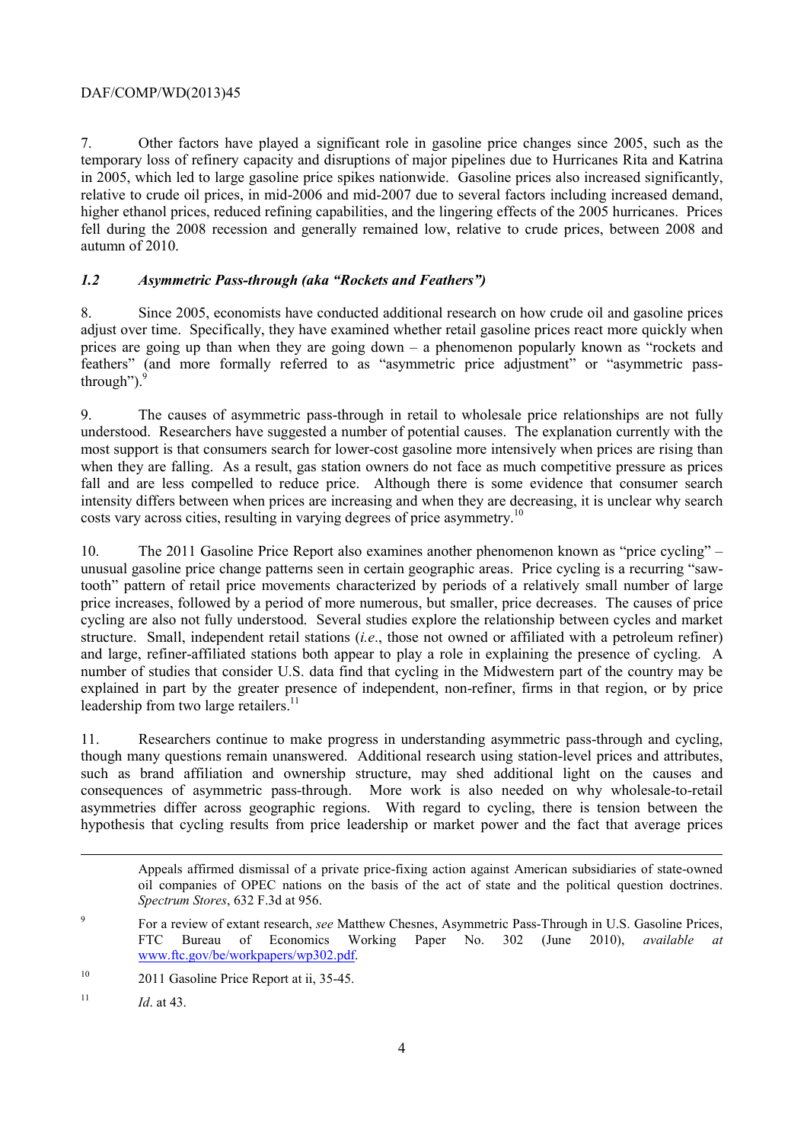## DAF/COMP/WD(2013)45

7. Other factors have played a significant role in gasoline price changes since 2005, such as the temporary loss of refinery capacity and disruptions of major pipelines due to Hurricanes Rita and Katrina in 2005, which led to large gasoline price spikes nationwide. Gasoline prices also increased significantly, relative to crude oil prices, in mid-2006 and mid-2007 due to several factors including increased demand, higher ethanol prices, reduced refining capabilities, and the lingering effects of the 2005 hurricanes. Prices fell during the 2008 recession and generally remained low, relative to crude prices, between 2008 and autumn of 2010.

# *1.2 Asymmetric Pass-through (aka "Rockets and Feathers")*

8. Since 2005, economists have conducted additional research on how crude oil and gasoline prices adjust over time. Specifically, they have examined whether retail gasoline prices react more quickly when prices are going up than when they are going down – a phenomenon popularly known as "rockets and feathers" (and more formally referred to as "asymmetric price adjustment" or "asymmetric passthrough").

9. The causes of asymmetric pass-through in retail to wholesale price relationships are not fully understood. Researchers have suggested a number of potential causes. The explanation currently with the most support is that consumers search for lower-cost gasoline more intensively when prices are rising than when they are falling. As a result, gas station owners do not face as much competitive pressure as prices fall and are less compelled to reduce price. Although there is some evidence that consumer search intensity differs between when prices are increasing and when they are decreasing, it is unclear why search costs vary across cities, resulting in varying degrees of price asymmetry.<sup>10</sup>

 price increases, followed by a period of more numerous, but smaller, price decreases. The causes of price 10. The 2011 Gasoline Price Report also examines another phenomenon known as "price cycling" – unusual gasoline price change patterns seen in certain geographic areas. Price cycling is a recurring "sawtooth" pattern of retail price movements characterized by periods of a relatively small number of large cycling are also not fully understood. Several studies explore the relationship between cycles and market structure. Small, independent retail stations (*i.e*., those not owned or affiliated with a petroleum refiner) and large, refiner-affiliated stations both appear to play a role in explaining the presence of cycling. A number of studies that consider U.S. data find that cycling in the Midwestern part of the country may be explained in part by the greater presence of independent, non-refiner, firms in that region, or by price leadership from two large retailers.<sup>11</sup>

11. Researchers continue to make progress in understanding asymmetric pass-through and cycling, though many questions remain unanswered. Additional research using station-level prices and attributes, such as brand affiliation and ownership structure, may shed additional light on the causes and consequences of asymmetric pass-through. More work is also needed on why wholesale-to-retail asymmetries differ across geographic regions. With regard to cycling, there is tension between the hypothesis that cycling results from price leadership or market power and the fact that average prices

 oil companies of OPEC nations on the basis of the act of state and the political question doctrines. *Spectrum Stores*, 632 F.3d at 956. Appeals affirmed dismissal of a private price-fixing action against American subsidiaries of state-owned

1

<sup>9</sup> For a review of extant research, *see* Matthew Chesnes, Asymmetric Pass-Through in U.S. Gasoline Prices, FTC Bureau of Economics Working Paper No. 302 (June 2010), *available at*  www.ftc.gov/be/workpapers/wp302.pdf.

 $10$ 2011 Gasoline Price Report at ii, 35-45.

<sup>&</sup>lt;sup>11</sup> *Id* at 43.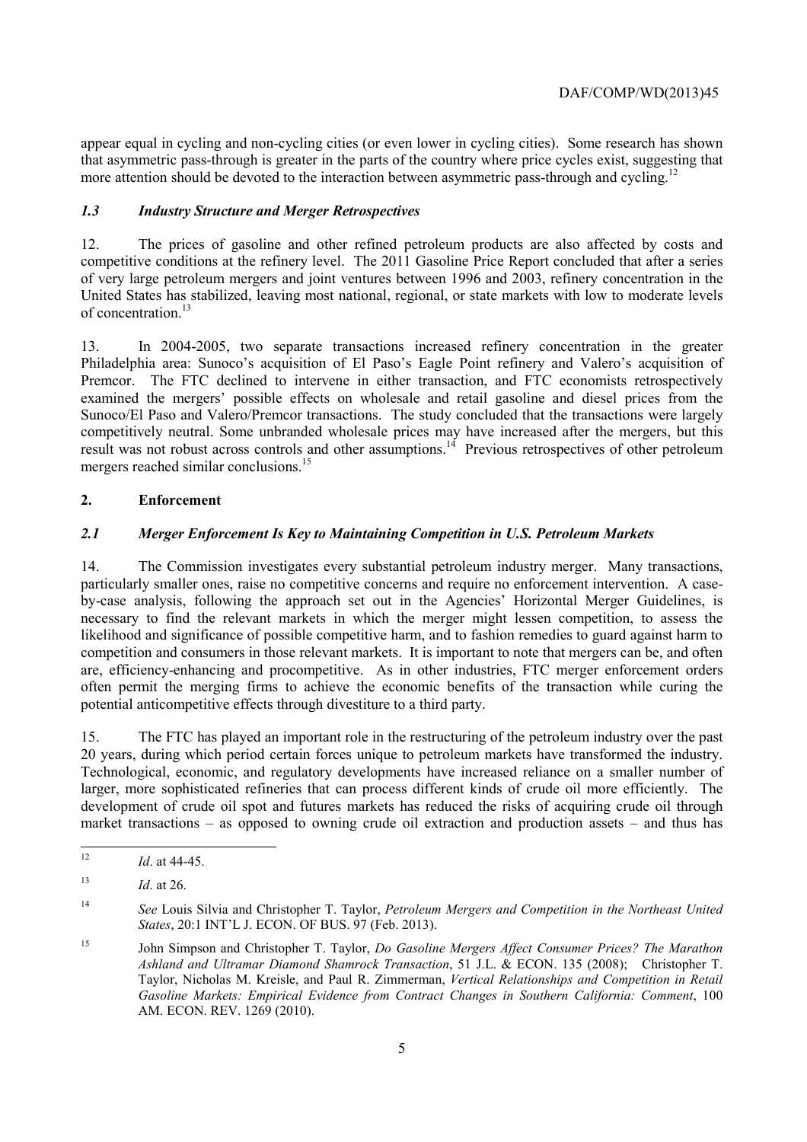appear equal in cycling and non-cycling cities (or even lower in cycling cities). Some research has shown that asymmetric pass-through is greater in the parts of the country where price cycles exist, suggesting that more attention should be devoted to the interaction between asymmetric pass-through and cycling.<sup>12</sup>

## *1.3 Industry Structure and Merger Retrospectives*

 competitive conditions at the refinery level. The 2011 Gasoline Price Report concluded that after a series 12. The prices of gasoline and other refined petroleum products are also affected by costs and of very large petroleum mergers and joint ventures between 1996 and 2003, refinery concentration in the United States has stabilized, leaving most national, regional, or state markets with low to moderate levels of concentration.<sup>13</sup>

 Sunoco/El Paso and Valero/Premcor transactions. The study concluded that the transactions were largely 13. In 2004-2005, two separate transactions increased refinery concentration in the greater Philadelphia area: Sunoco's acquisition of El Paso's Eagle Point refinery and Valero's acquisition of Premcor. The FTC declined to intervene in either transaction, and FTC economists retrospectively examined the mergers' possible effects on wholesale and retail gasoline and diesel prices from the competitively neutral. Some unbranded wholesale prices may have increased after the mergers, but this result was not robust across controls and other assumptions.<sup>14</sup> Previous retrospectives of other petroleum mergers reached similar conclusions.<sup>15</sup>

#### **2. Enforcement**

#### *2.1 Merger Enforcement Is Key to Maintaining Competition in U.S. Petroleum Markets*

14. The Commission investigates every substantial petroleum industry merger. Many transactions, particularly smaller ones, raise no competitive concerns and require no enforcement intervention. A caseby-case analysis, following the approach set out in the Agencies' Horizontal Merger Guidelines, is necessary to find the relevant markets in which the merger might lessen competition, to assess the likelihood and significance of possible competitive harm, and to fashion remedies to guard against harm to competition and consumers in those relevant markets. It is important to note that mergers can be, and often are, efficiency-enhancing and procompetitive. As in other industries, FTC merger enforcement orders often permit the merging firms to achieve the economic benefits of the transaction while curing the potential anticompetitive effects through divestiture to a third party.

 larger, more sophisticated refineries that can process different kinds of crude oil more efficiently. The 15. The FTC has played an important role in the restructuring of the petroleum industry over the past 20 years, during which period certain forces unique to petroleum markets have transformed the industry. Technological, economic, and regulatory developments have increased reliance on a smaller number of development of crude oil spot and futures markets has reduced the risks of acquiring crude oil through market transactions – as opposed to owning crude oil extraction and production assets – and thus has

<sup>12</sup>*Id*. at 44-45.

<sup>&</sup>lt;sup>13</sup> *Id.* at 26.

<sup>14</sup>*See* Louis Silvia and Christopher T. Taylor, *Petroleum Mergers and Competition in the Northeast United States*, 20:1 INT'L J. ECON. OF BUS. 97 (Feb. 2013).

 $15$  Taylor, Nicholas M. Kreisle, and Paul R. Zimmerman, *Vertical Relationships and Competition in Retail*  15 John Simpson and Christopher T. Taylor, *Do Gasoline Mergers Affect Consumer Prices? The Marathon Ashland and Ultramar Diamond Shamrock Transaction*, 51 J.L. & ECON. 135 (2008); Christopher T. *Gasoline Markets: Empirical Evidence from Contract Changes in Southern California: Comment*, 100 AM. ECON. REV. 1269 (2010).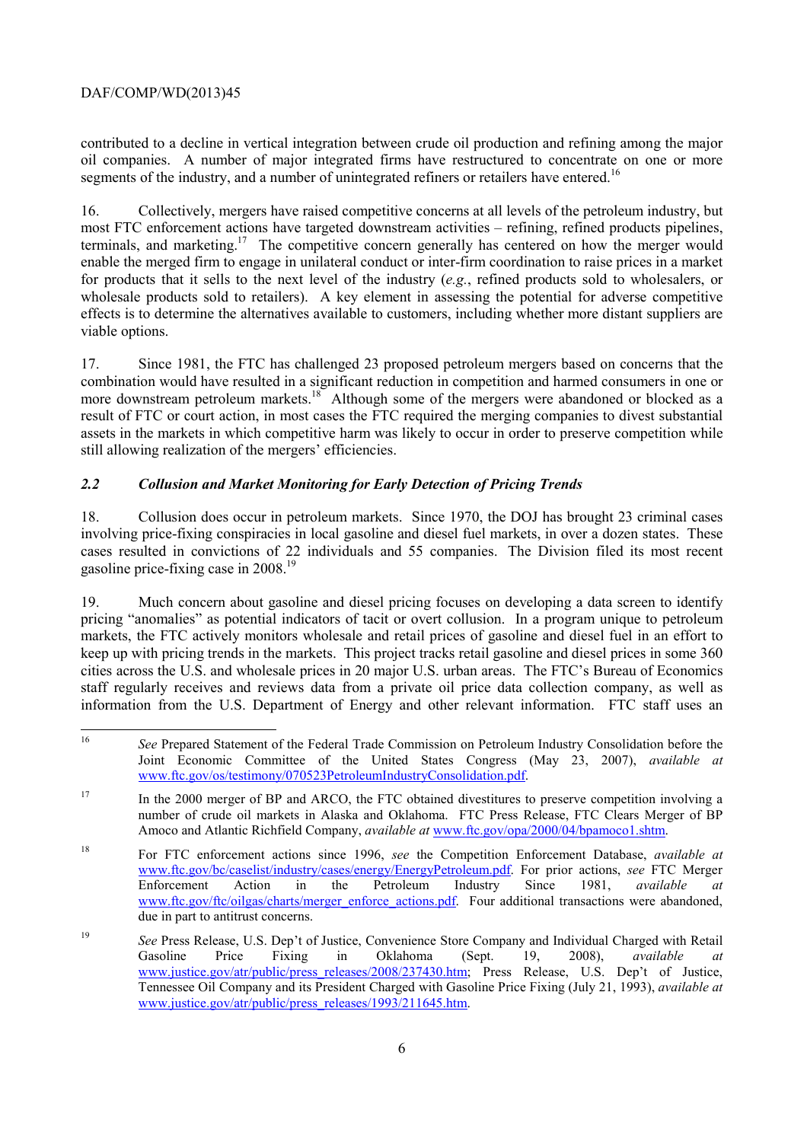# DAF/COMP/WD(2013)45

contributed to a decline in vertical integration between crude oil production and refining among the major oil companies. A number of major integrated firms have restructured to concentrate on one or more segments of the industry, and a number of unintegrated refiners or retailers have entered.<sup>16</sup>

16. Collectively, mergers have raised competitive concerns at all levels of the petroleum industry, but most FTC enforcement actions have targeted downstream activities – refining, refined products pipelines, terminals, and marketing.<sup>17</sup> The competitive concern generally has centered on how the merger would enable the merged firm to engage in unilateral conduct or inter-firm coordination to raise prices in a market for products that it sells to the next level of the industry (*e.g.*, refined products sold to wholesalers, or wholesale products sold to retailers). A key element in assessing the potential for adverse competitive effects is to determine the alternatives available to customers, including whether more distant suppliers are viable options.

17. Since 1981, the FTC has challenged 23 proposed petroleum mergers based on concerns that the combination would have resulted in a significant reduction in competition and harmed consumers in one or more downstream petroleum markets.<sup>18</sup> Although some of the mergers were abandoned or blocked as a result of FTC or court action, in most cases the FTC required the merging companies to divest substantial assets in the markets in which competitive harm was likely to occur in order to preserve competition while still allowing realization of the mergers' efficiencies.

# *2.2 Collusion and Market Monitoring for Early Detection of Pricing Trends*

 involving price-fixing conspiracies in local gasoline and diesel fuel markets, in over a dozen states. These 18. Collusion does occur in petroleum markets. Since 1970, the DOJ has brought 23 criminal cases cases resulted in convictions of 22 individuals and 55 companies. The Division filed its most recent gasoline price-fixing case in 2008.19

 information from the U.S. Department of Energy and other relevant information. FTC staff uses an 19. Much concern about gasoline and diesel pricing focuses on developing a data screen to identify pricing "anomalies" as potential indicators of tacit or overt collusion. In a program unique to petroleum markets, the FTC actively monitors wholesale and retail prices of gasoline and diesel fuel in an effort to keep up with pricing trends in the markets. This project tracks retail gasoline and diesel prices in some 360 cities across the U.S. and wholesale prices in 20 major U.S. urban areas. The FTC's Bureau of Economics staff regularly receives and reviews data from a private oil price data collection company, as well as

 $\overline{a}$ <sup>16</sup>*See* Prepared Statement of the Federal Trade Commission on Petroleum Industry Consolidation before the Joint Economic Committee of the United States Congress (May 23, 2007), *available at*  www.ftc.gov/os/testimony/070523PetroleumIndustryConsolidation.pdf.

<sup>&</sup>lt;sup>17</sup> In the 2000 merger of BP and ARCO, the FTC obtained divestitures to preserve competition involving a number of crude oil markets in Alaska and Oklahoma. FTC Press Release, FTC Clears Merger of BP Amoco and Atlantic Richfield Company, *available at* www.ftc.gov/opa/2000/04/bpamoco1.shtm.

<sup>18</sup> For FTC enforcement actions since 1996, *see* the Competition Enforcement Database, *available at*  www.ftc.gov/bc/caselist/industry/cases/energy/EnergyPetroleum.pdf. For prior actions, *see* FTC Merger Enforcement Action in the Petroleum Industry Since 1981, *available at*  www.ftc.gov/ftc/oilgas/charts/merger\_enforce\_actions.pdf. Four additional transactions were abandoned, due in part to antitrust concerns.

<sup>19</sup>*See* Press Release, U.S. Dep't of Justice, Convenience Store Company and Individual Charged with Retail Gasoline Price Fixing in Oklahoma (Sept. 19, 2008), *available at*  www.justice.gov/atr/public/press\_releases/2008/237430.htm; Press Release, U.S. Dep't of Justice, Tennessee Oil Company and its President Charged with Gasoline Price Fixing (July 21, 1993), *available at*  www.justice.gov/atr/public/press\_releases/1993/211645.htm.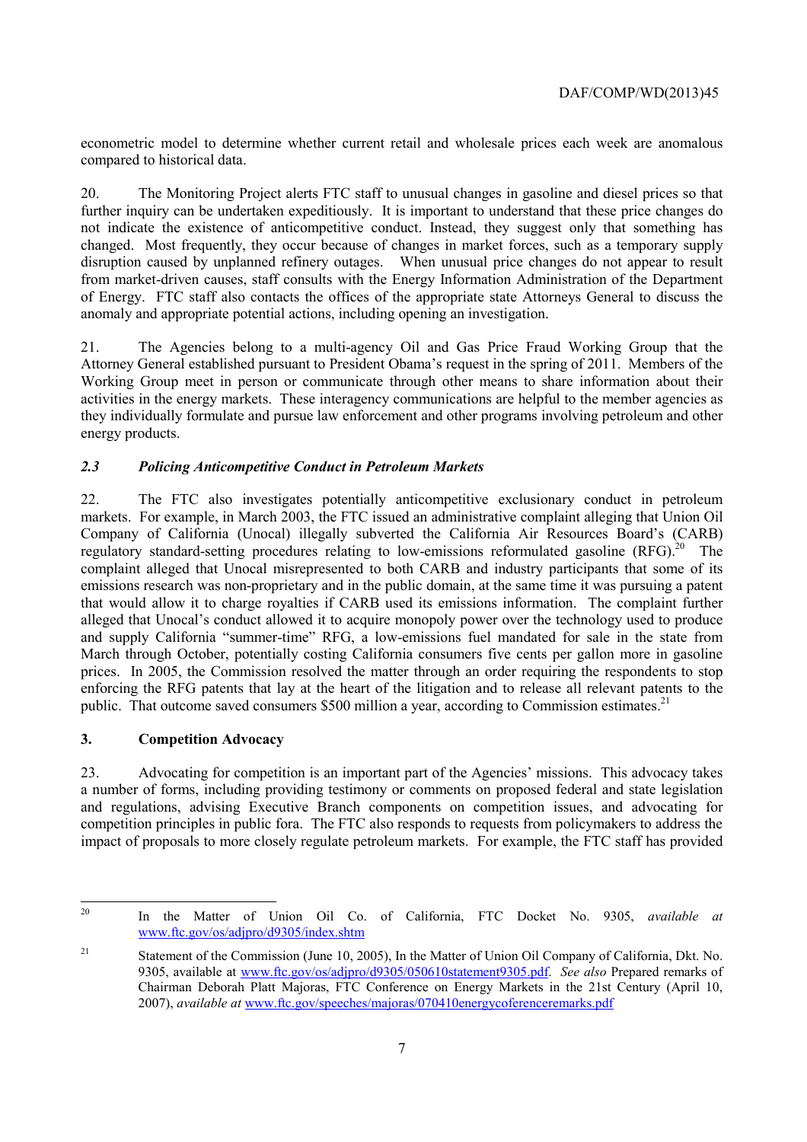econometric model to determine whether current retail and wholesale prices each week are anomalous compared to historical data.

20. The Monitoring Project alerts FTC staff to unusual changes in gasoline and diesel prices so that further inquiry can be undertaken expeditiously. It is important to understand that these price changes do not indicate the existence of anticompetitive conduct. Instead, they suggest only that something has changed. Most frequently, they occur because of changes in market forces, such as a temporary supply disruption caused by unplanned refinery outages. When unusual price changes do not appear to result from market-driven causes, staff consults with the Energy Information Administration of the Department of Energy. FTC staff also contacts the offices of the appropriate state Attorneys General to discuss the anomaly and appropriate potential actions, including opening an investigation.

 activities in the energy markets. These interagency communications are helpful to the member agencies as 21. The Agencies belong to a multi-agency Oil and Gas Price Fraud Working Group that the Attorney General established pursuant to President Obama's request in the spring of 2011. Members of the Working Group meet in person or communicate through other means to share information about their they individually formulate and pursue law enforcement and other programs involving petroleum and other energy products.

# *2.3 Policing Anticompetitive Conduct in Petroleum Markets*

regulatory standard-setting procedures relating to low-emissions reformulated gasoline  $(RFG)$ .<sup>20</sup> The 22. The FTC also investigates potentially anticompetitive exclusionary conduct in petroleum markets. For example, in March 2003, the FTC issued an administrative complaint alleging that Union Oil Company of California (Unocal) illegally subverted the California Air Resources Board's (CARB) complaint alleged that Unocal misrepresented to both CARB and industry participants that some of its emissions research was non-proprietary and in the public domain, at the same time it was pursuing a patent that would allow it to charge royalties if CARB used its emissions information. The complaint further alleged that Unocal's conduct allowed it to acquire monopoly power over the technology used to produce and supply California "summer-time" RFG, a low-emissions fuel mandated for sale in the state from March through October, potentially costing California consumers five cents per gallon more in gasoline prices. In 2005, the Commission resolved the matter through an order requiring the respondents to stop enforcing the RFG patents that lay at the heart of the litigation and to release all relevant patents to the public. That outcome saved consumers \$500 million a year, according to Commission estimates.<sup>21</sup>

# **3. Competition Advocacy**

 $\overline{a}$ 

23. Advocating for competition is an important part of the Agencies' missions. This advocacy takes a number of forms, including providing testimony or comments on proposed federal and state legislation and regulations, advising Executive Branch components on competition issues, and advocating for competition principles in public fora. The FTC also responds to requests from policymakers to address the impact of proposals to more closely regulate petroleum markets. For example, the FTC staff has provided

<sup>20</sup> In the Matter of Union Oil Co. of California, FTC Docket No. 9305, *available at*  www.ftc.gov/os/adjpro/d9305/index.shtm

 $21$ 21 Statement of the Commission (June 10, 2005), In the Matter of Union Oil Company of California, Dkt. No. 9305, available at www.ftc.gov/os/adjpro/d9305/050610statement9305.pdf. *See also* Prepared remarks of Chairman Deborah Platt Majoras, FTC Conference on Energy Markets in the 21st Century (April 10, 2007), *available at* www.ftc.gov/speeches/majoras/070410energycoferenceremarks.pdf